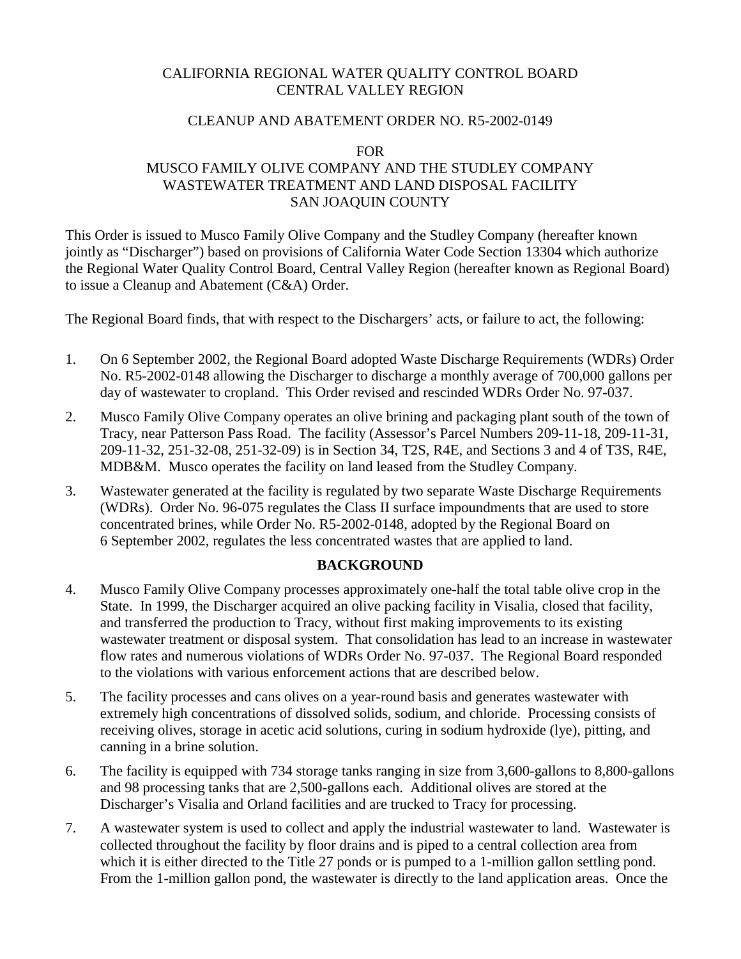# CALIFORNIA REGIONAL WATER QUALITY CONTROL BOARD CENTRAL VALLEY REGION

#### CLEANUP AND ABATEMENT ORDER NO. R5-2002-0149

#### FOR

### MUSCO FAMILY OLIVE COMPANY AND THE STUDLEY COMPANY WASTEWATER TREATMENT AND LAND DISPOSAL FACILITY SAN JOAQUIN COUNTY

This Order is issued to Musco Family Olive Company and the Studley Company (hereafter known jointly as "Discharger") based on provisions of California Water Code Section 13304 which authorize the Regional Water Quality Control Board, Central Valley Region (hereafter known as Regional Board) to issue a Cleanup and Abatement (C&A) Order.

The Regional Board finds, that with respect to the Dischargers' acts, or failure to act, the following:

- 1. On 6 September 2002, the Regional Board adopted Waste Discharge Requirements (WDRs) Order No. R5-2002-0148 allowing the Discharger to discharge a monthly average of 700,000 gallons per day of wastewater to cropland. This Order revised and rescinded WDRs Order No. 97-037.
- 2. Musco Family Olive Company operates an olive brining and packaging plant south of the town of Tracy, near Patterson Pass Road. The facility (Assessor's Parcel Numbers 209-11-18, 209-11-31, 209-11-32, 251-32-08, 251-32-09) is in Section 34, T2S, R4E, and Sections 3 and 4 of T3S, R4E, MDB&M. Musco operates the facility on land leased from the Studley Company.
- 3. Wastewater generated at the facility is regulated by two separate Waste Discharge Requirements (WDRs). Order No. 96-075 regulates the Class II surface impoundments that are used to store concentrated brines, while Order No. R5-2002-0148, adopted by the Regional Board on 6 September 2002, regulates the less concentrated wastes that are applied to land.

#### **BACKGROUND**

- 4. Musco Family Olive Company processes approximately one-half the total table olive crop in the State. In 1999, the Discharger acquired an olive packing facility in Visalia, closed that facility, and transferred the production to Tracy, without first making improvements to its existing wastewater treatment or disposal system. That consolidation has lead to an increase in wastewater flow rates and numerous violations of WDRs Order No. 97-037. The Regional Board responded to the violations with various enforcement actions that are described below.
- 5. The facility processes and cans olives on a year-round basis and generates wastewater with extremely high concentrations of dissolved solids, sodium, and chloride. Processing consists of receiving olives, storage in acetic acid solutions, curing in sodium hydroxide (lye), pitting, and canning in a brine solution.
- 6. The facility is equipped with 734 storage tanks ranging in size from 3,600-gallons to 8,800-gallons and 98 processing tanks that are 2,500-gallons each. Additional olives are stored at the Discharger's Visalia and Orland facilities and are trucked to Tracy for processing.
- 7. A wastewater system is used to collect and apply the industrial wastewater to land. Wastewater is collected throughout the facility by floor drains and is piped to a central collection area from which it is either directed to the Title 27 ponds or is pumped to a 1-million gallon settling pond. From the 1-million gallon pond, the wastewater is directly to the land application areas. Once the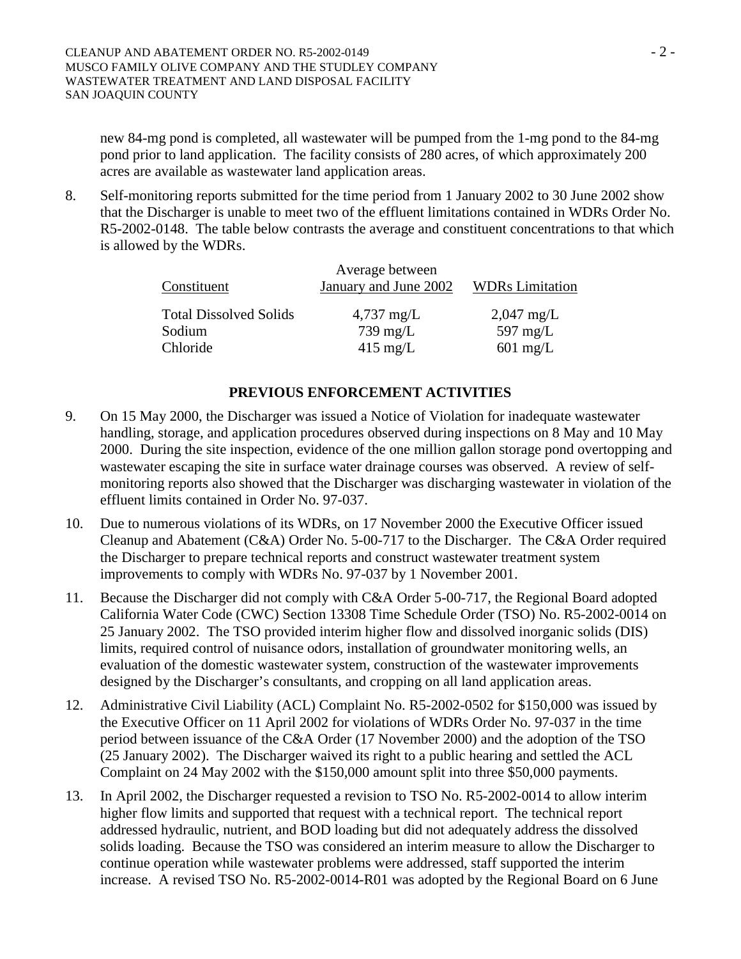new 84-mg pond is completed, all wastewater will be pumped from the 1-mg pond to the 84-mg pond prior to land application. The facility consists of 280 acres, of which approximately 200 acres are available as wastewater land application areas.

8. Self-monitoring reports submitted for the time period from 1 January 2002 to 30 June 2002 show that the Discharger is unable to meet two of the effluent limitations contained in WDRs Order No. R5-2002-0148. The table below contrasts the average and constituent concentrations to that which is allowed by the WDRs.

| Constituent                   | Average between<br>January and June 2002 | <b>WDRs Limitation</b> |  |
|-------------------------------|------------------------------------------|------------------------|--|
| <b>Total Dissolved Solids</b> | $4,737 \text{ mg/L}$                     | $2,047 \text{ mg/L}$   |  |
| Sodium                        | $739 \text{ mg/L}$                       | 597 mg/ $L$            |  |
| Chloride                      | $415 \text{ mg/L}$                       | $601 \text{ mg/L}$     |  |

#### **PREVIOUS ENFORCEMENT ACTIVITIES**

- 9. On 15 May 2000, the Discharger was issued a Notice of Violation for inadequate wastewater handling, storage, and application procedures observed during inspections on 8 May and 10 May 2000. During the site inspection, evidence of the one million gallon storage pond overtopping and wastewater escaping the site in surface water drainage courses was observed. A review of selfmonitoring reports also showed that the Discharger was discharging wastewater in violation of the effluent limits contained in Order No. 97-037.
- 10. Due to numerous violations of its WDRs, on 17 November 2000 the Executive Officer issued Cleanup and Abatement (C&A) Order No. 5-00-717 to the Discharger. The C&A Order required the Discharger to prepare technical reports and construct wastewater treatment system improvements to comply with WDRs No. 97-037 by 1 November 2001.
- 11. Because the Discharger did not comply with C&A Order 5-00-717, the Regional Board adopted California Water Code (CWC) Section 13308 Time Schedule Order (TSO) No. R5-2002-0014 on 25 January 2002. The TSO provided interim higher flow and dissolved inorganic solids (DIS) limits, required control of nuisance odors, installation of groundwater monitoring wells, an evaluation of the domestic wastewater system, construction of the wastewater improvements designed by the Discharger's consultants, and cropping on all land application areas.
- 12. Administrative Civil Liability (ACL) Complaint No. R5-2002-0502 for \$150,000 was issued by the Executive Officer on 11 April 2002 for violations of WDRs Order No. 97-037 in the time period between issuance of the C&A Order (17 November 2000) and the adoption of the TSO (25 January 2002). The Discharger waived its right to a public hearing and settled the ACL Complaint on 24 May 2002 with the \$150,000 amount split into three \$50,000 payments.
- 13. In April 2002, the Discharger requested a revision to TSO No. R5-2002-0014 to allow interim higher flow limits and supported that request with a technical report. The technical report addressed hydraulic, nutrient, and BOD loading but did not adequately address the dissolved solids loading. Because the TSO was considered an interim measure to allow the Discharger to continue operation while wastewater problems were addressed, staff supported the interim increase. A revised TSO No. R5-2002-0014-R01 was adopted by the Regional Board on 6 June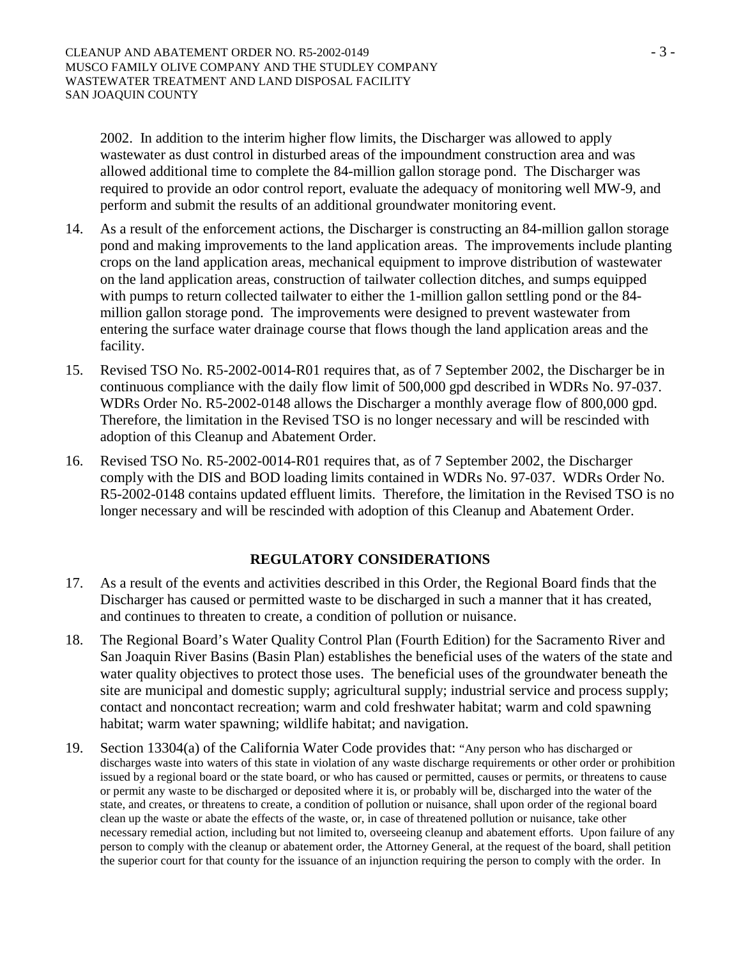2002. In addition to the interim higher flow limits, the Discharger was allowed to apply wastewater as dust control in disturbed areas of the impoundment construction area and was allowed additional time to complete the 84-million gallon storage pond. The Discharger was required to provide an odor control report, evaluate the adequacy of monitoring well MW-9, and perform and submit the results of an additional groundwater monitoring event.

- 14. As a result of the enforcement actions, the Discharger is constructing an 84-million gallon storage pond and making improvements to the land application areas. The improvements include planting crops on the land application areas, mechanical equipment to improve distribution of wastewater on the land application areas, construction of tailwater collection ditches, and sumps equipped with pumps to return collected tailwater to either the 1-million gallon settling pond or the 84 million gallon storage pond. The improvements were designed to prevent wastewater from entering the surface water drainage course that flows though the land application areas and the facility.
- 15. Revised TSO No. R5-2002-0014-R01 requires that, as of 7 September 2002, the Discharger be in continuous compliance with the daily flow limit of 500,000 gpd described in WDRs No. 97-037. WDRs Order No. R5-2002-0148 allows the Discharger a monthly average flow of 800,000 gpd. Therefore, the limitation in the Revised TSO is no longer necessary and will be rescinded with adoption of this Cleanup and Abatement Order.
- 16. Revised TSO No. R5-2002-0014-R01 requires that, as of 7 September 2002, the Discharger comply with the DIS and BOD loading limits contained in WDRs No. 97-037. WDRs Order No. R5-2002-0148 contains updated effluent limits. Therefore, the limitation in the Revised TSO is no longer necessary and will be rescinded with adoption of this Cleanup and Abatement Order.

# **REGULATORY CONSIDERATIONS**

- 17. As a result of the events and activities described in this Order, the Regional Board finds that the Discharger has caused or permitted waste to be discharged in such a manner that it has created, and continues to threaten to create, a condition of pollution or nuisance.
- 18. The Regional Board's Water Quality Control Plan (Fourth Edition) for the Sacramento River and San Joaquin River Basins (Basin Plan) establishes the beneficial uses of the waters of the state and water quality objectives to protect those uses. The beneficial uses of the groundwater beneath the site are municipal and domestic supply; agricultural supply; industrial service and process supply; contact and noncontact recreation; warm and cold freshwater habitat; warm and cold spawning habitat; warm water spawning; wildlife habitat; and navigation.
- 19. Section 13304(a) of the California Water Code provides that: "Any person who has discharged or discharges waste into waters of this state in violation of any waste discharge requirements or other order or prohibition issued by a regional board or the state board, or who has caused or permitted, causes or permits, or threatens to cause or permit any waste to be discharged or deposited where it is, or probably will be, discharged into the water of the state, and creates, or threatens to create, a condition of pollution or nuisance, shall upon order of the regional board clean up the waste or abate the effects of the waste, or, in case of threatened pollution or nuisance, take other necessary remedial action, including but not limited to, overseeing cleanup and abatement efforts. Upon failure of any person to comply with the cleanup or abatement order, the Attorney General, at the request of the board, shall petition the superior court for that county for the issuance of an injunction requiring the person to comply with the order. In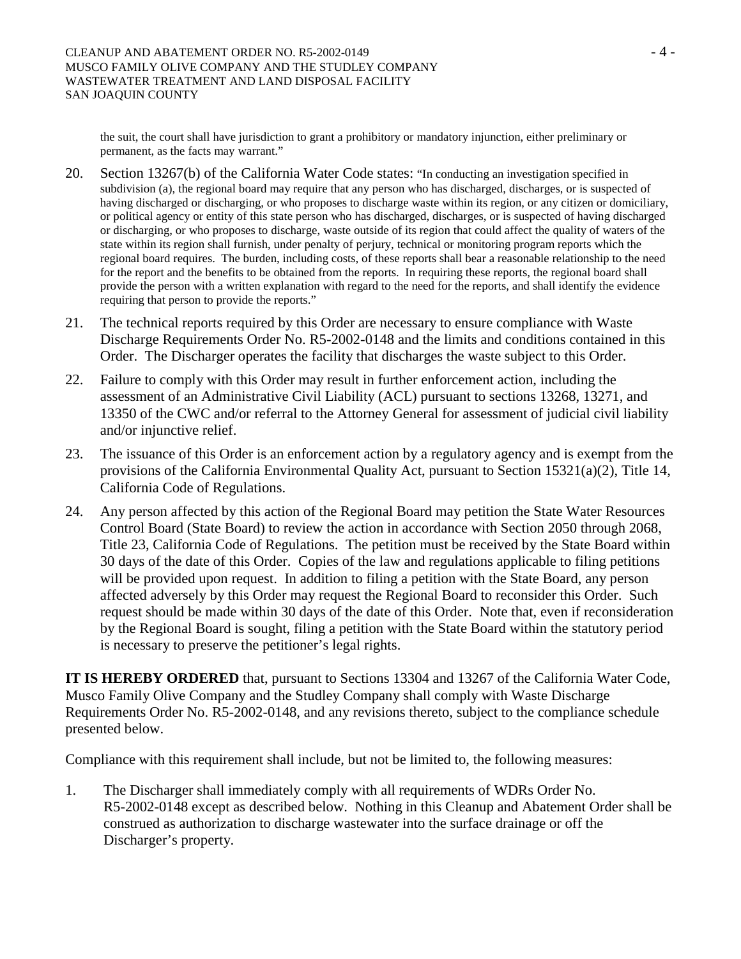the suit, the court shall have jurisdiction to grant a prohibitory or mandatory injunction, either preliminary or permanent, as the facts may warrant."

- 20. Section 13267(b) of the California Water Code states: "In conducting an investigation specified in subdivision (a), the regional board may require that any person who has discharged, discharges, or is suspected of having discharged or discharging, or who proposes to discharge waste within its region, or any citizen or domiciliary, or political agency or entity of this state person who has discharged, discharges, or is suspected of having discharged or discharging, or who proposes to discharge, waste outside of its region that could affect the quality of waters of the state within its region shall furnish, under penalty of perjury, technical or monitoring program reports which the regional board requires. The burden, including costs, of these reports shall bear a reasonable relationship to the need for the report and the benefits to be obtained from the reports. In requiring these reports, the regional board shall provide the person with a written explanation with regard to the need for the reports, and shall identify the evidence requiring that person to provide the reports."
- 21. The technical reports required by this Order are necessary to ensure compliance with Waste Discharge Requirements Order No. R5-2002-0148 and the limits and conditions contained in this Order. The Discharger operates the facility that discharges the waste subject to this Order.
- 22. Failure to comply with this Order may result in further enforcement action, including the assessment of an Administrative Civil Liability (ACL) pursuant to sections 13268, 13271, and 13350 of the CWC and/or referral to the Attorney General for assessment of judicial civil liability and/or injunctive relief.
- 23. The issuance of this Order is an enforcement action by a regulatory agency and is exempt from the provisions of the California Environmental Quality Act, pursuant to Section 15321(a)(2), Title 14, California Code of Regulations.
- 24. Any person affected by this action of the Regional Board may petition the State Water Resources Control Board (State Board) to review the action in accordance with Section 2050 through 2068, Title 23, California Code of Regulations. The petition must be received by the State Board within 30 days of the date of this Order. Copies of the law and regulations applicable to filing petitions will be provided upon request. In addition to filing a petition with the State Board, any person affected adversely by this Order may request the Regional Board to reconsider this Order. Such request should be made within 30 days of the date of this Order. Note that, even if reconsideration by the Regional Board is sought, filing a petition with the State Board within the statutory period is necessary to preserve the petitioner's legal rights.

**IT IS HEREBY ORDERED** that, pursuant to Sections 13304 and 13267 of the California Water Code, Musco Family Olive Company and the Studley Company shall comply with Waste Discharge Requirements Order No. R5-2002-0148, and any revisions thereto, subject to the compliance schedule presented below.

Compliance with this requirement shall include, but not be limited to, the following measures:

1. The Discharger shall immediately comply with all requirements of WDRs Order No. R5-2002-0148 except as described below. Nothing in this Cleanup and Abatement Order shall be construed as authorization to discharge wastewater into the surface drainage or off the Discharger's property.